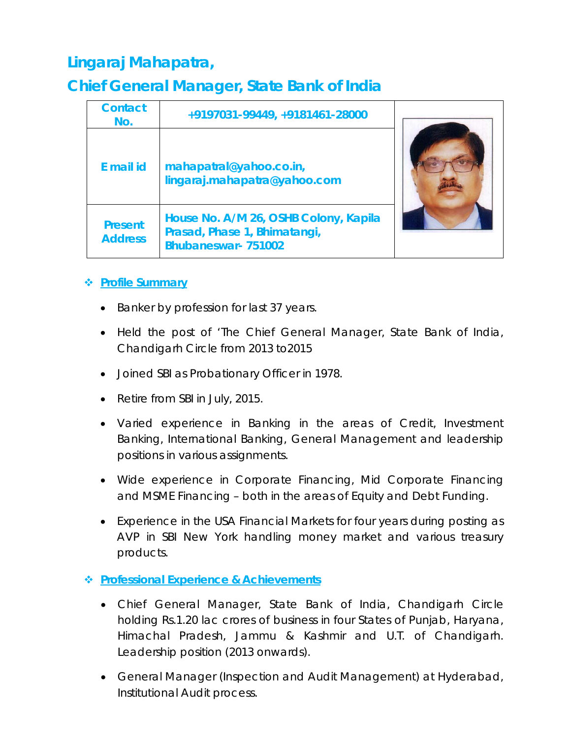# **Lingaraj Mahapatra,**

## **Chief General Manager, State Bank of India**

| <b>Contact</b><br>No.            | +9197031-99449, +9181461-28000                                                                     |  |
|----------------------------------|----------------------------------------------------------------------------------------------------|--|
| E mail id                        | mahapatral@yahoo.co.in,<br>lingaraj.mahapatra@yahoo.com                                            |  |
| <b>Present</b><br><b>Address</b> | House No. A/M 26, OSHB Colony, Kapila<br>Prasad, Phase 1, Bhimatangi,<br><b>Bhubaneswar-751002</b> |  |

### **Profile Summary**

- Banker by profession for last 37 years.
- Held the post of 'The Chief General Manager, State Bank of India, Chandigarh Circle from 2013 to2015
- Joined SBI as Probationary Officer in 1978.
- Retire from SBI in July, 2015.
- Varied experience in Banking in the areas of Credit, Investment Banking, International Banking, General Management and leadership positions in various assignments.
- Wide experience in Corporate Financing, Mid Corporate Financing and MSME Financing – both in the areas of Equity and Debt Funding.
- Experience in the USA Financial Markets for four years during posting as AVP in SBI New York handling money market and various treasury products.

### **Professional Experience & Achievements**

- Chief General Manager, State Bank of India, Chandigarh Circle holding Rs.1.20 lac crores of business in four States of Punjab, Haryana, Himachal Pradesh, Jammu & Kashmir and U.T. of Chandigarh. Leadership position (2013 onwards).
- General Manager (Inspection and Audit Management) at Hyderabad, Institutional Audit process.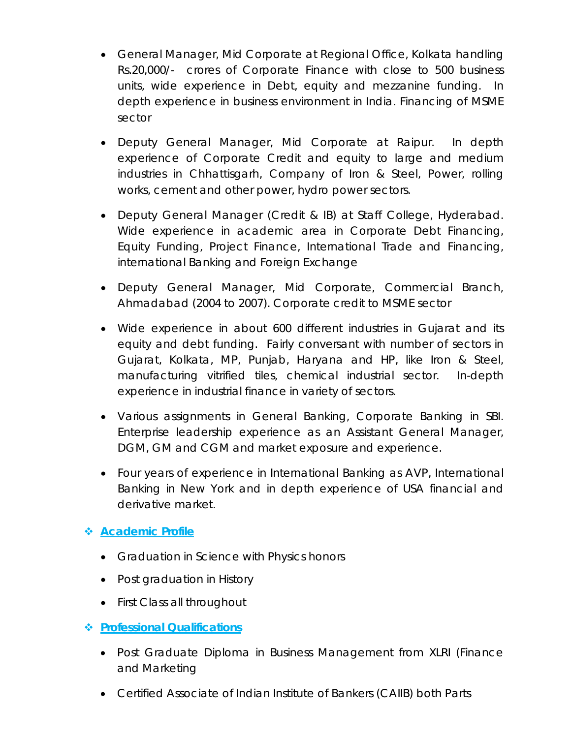- General Manager, Mid Corporate at Regional Office, Kolkata handling Rs.20,000/- crores of Corporate Finance with close to 500 business units, wide experience in Debt, equity and mezzanine funding. In depth experience in business environment in India. Financing of MSME sector
- Deputy General Manager, Mid Corporate at Raipur. In depth experience of Corporate Credit and equity to large and medium industries in Chhattisgarh, Company of Iron & Steel, Power, rolling works, cement and other power, hydro power sectors.
- Deputy General Manager (Credit & IB) at Staff College, Hyderabad. Wide experience in academic area in Corporate Debt Financing, Equity Funding, Project Finance, International Trade and Financing, international Banking and Foreign Exchange
- Deputy General Manager, Mid Corporate, Commercial Branch, Ahmadabad (2004 to 2007). Corporate credit to MSME sector
- Wide experience in about 600 different industries in Gujarat and its equity and debt funding. Fairly conversant with number of sectors in Gujarat, Kolkata, MP, Punjab, Haryana and HP, like Iron & Steel, manufacturing vitrified tiles, chemical industrial sector. In-depth experience in industrial finance in variety of sectors.
- Various assignments in General Banking, Corporate Banking in SBI. Enterprise leadership experience as an Assistant General Manager, DGM, GM and CGM and market exposure and experience.
- Four years of experience in International Banking as AVP, International Banking in New York and in depth experience of USA financial and derivative market.

### **Academic Profile**

- Graduation in Science with Physics honors
- Post graduation in History
- First Class all throughout
- **Professional Qualifications**
	- Post Graduate Diploma in Business Management from XLRI (Finance and Marketing
	- Certified Associate of Indian Institute of Bankers (CAIIB) both Parts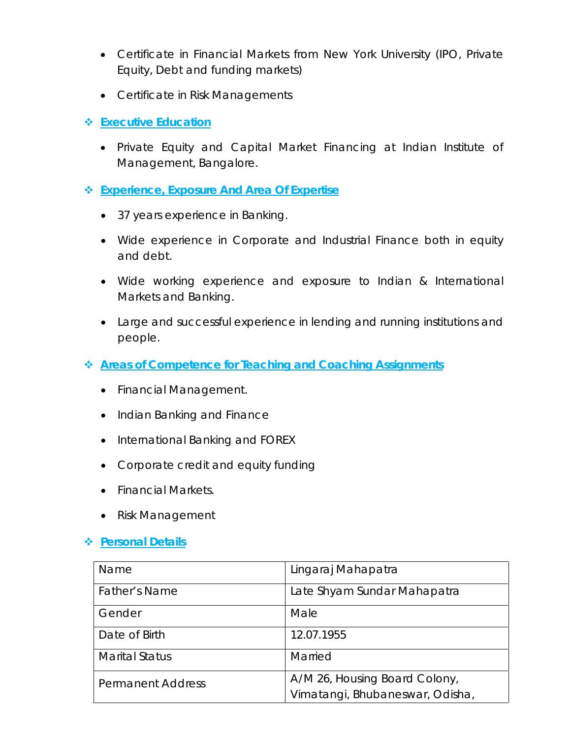- Certificate in Financial Markets from New York University (IPO, Private Equity, Debt and funding markets)
- Certificate in Risk Managements
- **Executive Education**
	- Private Equity and Capital Market Financing at Indian Institute of Management, Bangalore.
- **Experience, Exposure And Area Of Expertise**
	- 37 years experience in Banking.
	- Wide experience in Corporate and Industrial Finance both in equity and debt.
	- Wide working experience and exposure to Indian & International Markets and Banking.
	- Large and successful experience in lending and running institutions and people.
- **Areas of Competence for Teaching and Coaching Assignments**
	- Financial Management.
	- Indian Banking and Finance
	- International Banking and FOREX
	- Corporate credit and equity funding
	- Financial Markets.
	- Risk Management

#### **Personal Details**

| Name                     | Lingaraj Mahapatra                                               |
|--------------------------|------------------------------------------------------------------|
| Father's Name            | Late Shyam Sundar Mahapatra                                      |
| Gender                   | Male                                                             |
| Date of Birth            | 12.07.1955                                                       |
| <b>Marital Status</b>    | Married                                                          |
| <b>Permanent Address</b> | A/M 26, Housing Board Colony,<br>Vimatangi, Bhubaneswar, Odisha, |